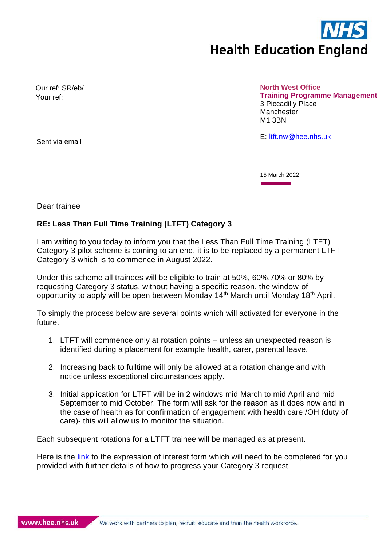

Our ref: SR/eb/ Your ref:

**North West Office Training Programme Management** 3 Piccadilly Place Manchester M1 3BN

Sent via email and the sense of the sense of the sense of the Sent via email and the Sense of the Sense of the Sense of the Sense of the Sense of the Sense of the Sense of the Sense of the Sense of the Sense of the Sense o

15 March 2022

Dear trainee

## **RE: Less Than Full Time Training (LTFT) Category 3**

I am writing to you today to inform you that the Less Than Full Time Training (LTFT) Category 3 pilot scheme is coming to an end, it is to be replaced by a permanent LTFT Category 3 which is to commence in August 2022.

Under this scheme all trainees will be eligible to train at 50%, 60%,70% or 80% by requesting Category 3 status, without having a specific reason, the window of opportunity to apply will be open between Monday 14th March until Monday 18th April.

To simply the process below are several points which will activated for everyone in the future.

- 1. LTFT will commence only at rotation points unless an unexpected reason is identified during a placement for example health, carer, parental leave.
- 2. Increasing back to fulltime will only be allowed at a rotation change and with notice unless exceptional circumstances apply.
- 3. Initial application for LTFT will be in 2 windows mid March to mid April and mid September to mid October. The form will ask for the reason as it does now and in the case of health as for confirmation of engagement with health care /OH (duty of care)- this will allow us to monitor the situation.

Each subsequent rotations for a LTFT trainee will be managed as at present.

Here is the [link](https://nwpgmd.nhs.uk/sites/default/files/Application%20for%20Commencement%20of%20LTFT%20Training.docx) to the expression of interest form which will need to be completed for you provided with further details of how to progress your Category 3 request.